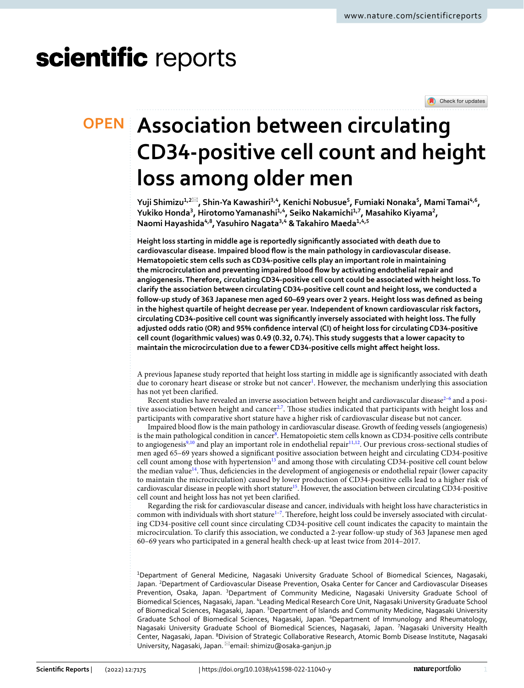# scientific reports

Check for updates

# **Association between circulating OPEN CD34‑positive cell count and height loss among older men**

**Yuji Shimizu1,2**\***, Shin‑Ya Kawashiri3,4, Kenichi Nobusue5 , Fumiaki Nonaka5 , MamiTamai4,6, Yukiko Honda3 , HirotomoYamanashi1,4, Seiko Nakamichi1,7, Masahiko Kiyama2 , Naomi Hayashida4,8, Yasuhiro Nagata3,4 & Takahiro Maeda1,4,5**

**Height loss starting in middle age is reportedly signifcantly associated with death due to cardiovascular disease. Impaired blood fow is the main pathology in cardiovascular disease. Hematopoietic stem cells such as CD34-positive cells play an important role in maintaining the microcirculation and preventing impaired blood fow by activating endothelial repair and angiogenesis. Therefore, circulating CD34-positive cell count could be associated with height loss. To clarify the association between circulating CD34-positive cell count and height loss, we conducted a follow-up study of 363 Japanese men aged 60–69 years over 2 years. Height loss was defned as being in the highest quartile of height decrease per year. Independent of known cardiovascular risk factors, circulating CD34-positive cell count was signifcantly inversely associated with height loss. The fully adjusted odds ratio (OR) and 95% confdence interval (CI) of height loss for circulating CD34-positive cell count (logarithmic values) was 0.49 (0.32, 0.74). This study suggests that a lower capacity to maintain the microcirculation due to a fewer CD34-positive cells might afect height loss.**

A previous Japanese study reported that height loss starting in middle age is signifcantly associated with death due to coronary heart disease or stroke but not cancer<sup>[1](#page-4-0)</sup>. However, the mechanism underlying this association has not yet been clarifed.

Recent studies have revealed an inverse association between height and cardiovascular disease<sup>2-[6](#page-4-2)</sup> and a posi-tive association between height and cancer<sup>[2,](#page-4-1)[7](#page-4-3)</sup>. Those studies indicated that participants with height loss and participants with comparative short stature have a higher risk of cardiovascular disease but not cancer.

Impaired blood fow is the main pathology in cardiovascular disease. Growth of feeding vessels (angiogenesis) is the main pathological condition in cancer<sup>8</sup>. Hematopoietic stem cells known as CD34-positive cells contribute to angiogenesis<sup>9,[10](#page-4-6)</sup> and play an important role in endothelial repair<sup>11[,12](#page-5-0)</sup>. Our previous cross-sectional studies of men aged 65–69 years showed a signifcant positive association between height and circulating CD34-positive cell count among those with hypertension<sup>13</sup> and among those with circulating CD34-positive cell count below the median value<sup>14</sup>. Thus, deficiencies in the development of angiogenesis or endothelial repair (lower capacity to maintain the microcirculation) caused by lower production of CD34-positive cells lead to a higher risk of cardiovascular disease in people with short stature<sup>15</sup>. However, the association between circulating CD34-positive cell count and height loss has not yet been clarifed.

Regarding the risk for cardiovascular disease and cancer, individuals with height loss have characteristics in common with individuals with short stature<sup>1-[7](#page-4-3)</sup>. Therefore, height loss could be inversely associated with circulating CD34-positive cell count since circulating CD34-positive cell count indicates the capacity to maintain the microcirculation. To clarify this association, we conducted a 2-year follow-up study of 363 Japanese men aged 60–69 years who participated in a general health check-up at least twice from 2014–2017.

1 Department of General Medicine, Nagasaki University Graduate School of Biomedical Sciences, Nagasaki, Japan. <sup>2</sup> Department of Cardiovascular Disease Prevention, Osaka Center for Cancer and Cardiovascular Diseases Prevention, Osaka, Japan. <sup>3</sup>Department of Community Medicine, Nagasaki University Graduate School of Biomedical Sciences, Nagasaki, Japan. <sup>4</sup>Leading Medical Research Core Unit, Nagasaki University Graduate School of Biomedical Sciences, Nagasaki, Japan. <sup>5</sup>Department of Islands and Community Medicine, Nagasaki University Graduate School of Biomedical Sciences, Nagasaki, Japan. <sup>6</sup>Department of Immunology and Rheumatology, Nagasaki University Graduate School of Biomedical Sciences, Nagasaki, Japan. <sup>7</sup>Nagasaki University Health Center, Nagasaki, Japan. <sup>8</sup>Division of Strategic Collaborative Research, Atomic Bomb Disease Institute, Nagasaki University, Nagasaki, Japan. <sup> $\boxtimes$ </sup>email: shimizu@osaka-ganjun.jp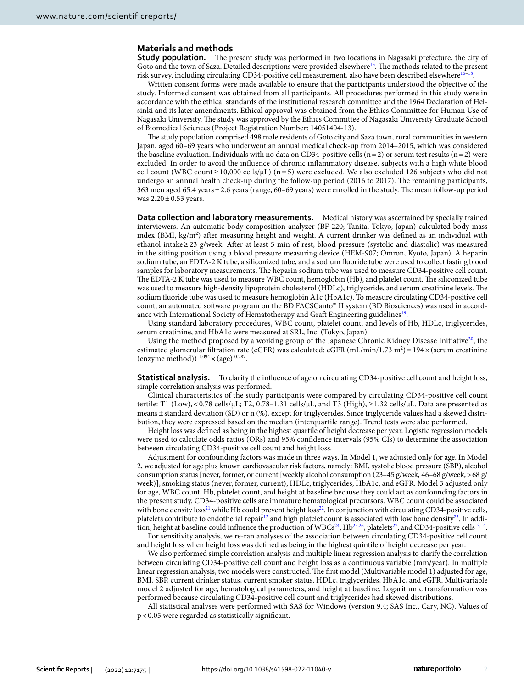# **Materials and methods**

**Study population.** The present study was performed in two locations in Nagasaki prefecture, the city of Goto and the town of Saza. Detailed descriptions were provided elsewhere<sup>[15](#page-5-3)</sup>. The methods related to the present risk survey, including circulating CD34-positive cell measurement, also have been described elsewhere<sup>16–18</sup>.

Written consent forms were made available to ensure that the participants understood the objective of the study. Informed consent was obtained from all participants. All procedures performed in this study were in accordance with the ethical standards of the institutional research committee and the 1964 Declaration of Helsinki and its later amendments. Ethical approval was obtained from the Ethics Committee for Human Use of Nagasaki University. The study was approved by the Ethics Committee of Nagasaki University Graduate School of Biomedical Sciences (Project Registration Number: 14051404-13).

The study population comprised 498 male residents of Goto city and Saza town, rural communities in western Japan, aged 60–69 years who underwent an annual medical check-up from 2014–2015, which was considered the baseline evaluation. Individuals with no data on CD34-positive cells ( $n=2$ ) or serum test results ( $n=2$ ) were excluded. In order to avoid the infuence of chronic infammatory disease, subjects with a high white blood cell count (WBC count  $\geq 10,000$  cells/ $\mu$ L) (n = 5) were excluded. We also excluded 126 subjects who did not undergo an annual health check-up during the follow-up period (2016 to 2017). The remaining participants, 363 men aged 65.4 years ± 2.6 years (range, 60–69 years) were enrolled in the study. The mean follow-up period was  $2.20 \pm 0.53$  years.

**Data collection and laboratory measurements.** Medical history was ascertained by specially trained interviewers. An automatic body composition analyzer (BF-220; Tanita, Tokyo, Japan) calculated body mass index (BMI, kg/m<sup>2</sup>) after measuring height and weight. A current drinker was defined as an individual with ethanol intake≥23 g/week. Afer at least 5 min of rest, blood pressure (systolic and diastolic) was measured in the sitting position using a blood pressure measuring device (HEM-907; Omron, Kyoto, Japan). A heparin sodium tube, an EDTA-2 K tube, a siliconized tube, and a sodium fuoride tube were used to collect fasting blood samples for laboratory measurements. The heparin sodium tube was used to measure CD34-positive cell count. The EDTA-2 K tube was used to measure WBC count, hemoglobin (Hb), and platelet count. The siliconized tube was used to measure high-density lipoprotein cholesterol (HDLc), triglyceride, and serum creatinine levels. The sodium fuoride tube was used to measure hemoglobin A1c (HbA1c). To measure circulating CD34-positive cell count, an automated sofware program on the BD FACSCanto™ II system (BD Biosciences) was used in accordance with International Society of Hematotherapy and Graft Engineering guidelines<sup>19</sup>.

Using standard laboratory procedures, WBC count, platelet count, and levels of Hb, HDLc, triglycerides, serum creatinine, and HbA1c were measured at SRL, Inc. (Tokyo, Japan).

Using the method proposed by a working group of the Japanese Chronic Kidney Disease Initiative<sup>20</sup>, the estimated glomerular filtration rate (eGFR) was calculated: eGFR (mL/min/1.73 m<sup>2</sup>) =  $194 \times$  (serum creatinine (enzyme method)) $^{-1.094}$   $\times$  (age) $^{-0.287}$ .

**Statistical analysis.** To clarify the infuence of age on circulating CD34-positive cell count and height loss, simple correlation analysis was performed.

Clinical characteristics of the study participants were compared by circulating CD34-positive cell count tertile: T1 (Low), < 0.78 cells/μL; T2, 0.78–1.31 cells/μL, and T3 (High), ≥1.32 cells/μL. Data are presented as means±standard deviation (SD) or n (%), except for triglycerides. Since triglyceride values had a skewed distribution, they were expressed based on the median (interquartile range). Trend tests were also performed.

Height loss was defned as being in the highest quartile of height decrease per year. Logistic regression models were used to calculate odds ratios (ORs) and 95% confdence intervals (95% CIs) to determine the association between circulating CD34-positive cell count and height loss.

Adjustment for confounding factors was made in three ways. In Model 1, we adjusted only for age. In Model 2, we adjusted for age plus known cardiovascular risk factors, namely: BMI, systolic blood pressure (SBP), alcohol consumption status [never, former, or current [weekly alcohol consumption (23–45 g/week, 46–68 g/week,>68 g/ week)], smoking status (never, former, current), HDLc, triglycerides, HbA1c, and eGFR. Model 3 adjusted only for age, WBC count, Hb, platelet count, and height at baseline because they could act as confounding factors in the present study. CD34-positive cells are immature hematological precursors. WBC count could be associated with bone density  $loss^{21}$  $loss^{21}$  $loss^{21}$  while Hb could prevent height  $loss^{22}$  $loss^{22}$  $loss^{22}$ . In conjunction with circulating CD34-positive cells, platelets contribute to endothelial repair<sup>12</sup> and high platelet count is associated with low bone density<sup>[23](#page-5-10)</sup>. In addi-tion, height at baseline could influence the production of WBCs<sup>24</sup>, Hb<sup>25,[26](#page-5-13)</sup>, platelets<sup>27</sup>, and CD34-positive cells<sup>[13](#page-5-1),[14](#page-5-2)</sup>.

For sensitivity analysis, we re-ran analyses of the association between circulating CD34-positive cell count and height loss when height loss was defned as being in the highest quintile of height decrease per year.

We also performed simple correlation analysis and multiple linear regression analysis to clarify the correlation between circulating CD34-positive cell count and height loss as a continuous variable (mm/year). In multiple linear regression analysis, two models were constructed. The first model (Multivariable model 1) adjusted for age, BMI, SBP, current drinker status, current smoker status, HDLc, triglycerides, HbA1c, and eGFR. Multivariable model 2 adjusted for age, hematological parameters, and height at baseline. Logarithmic transformation was performed because circulating CD34-positive cell count and triglycerides had skewed distributions.

All statistical analyses were performed with SAS for Windows (version 9.4; SAS Inc., Cary, NC). Values of p<0.05 were regarded as statistically signifcant.

2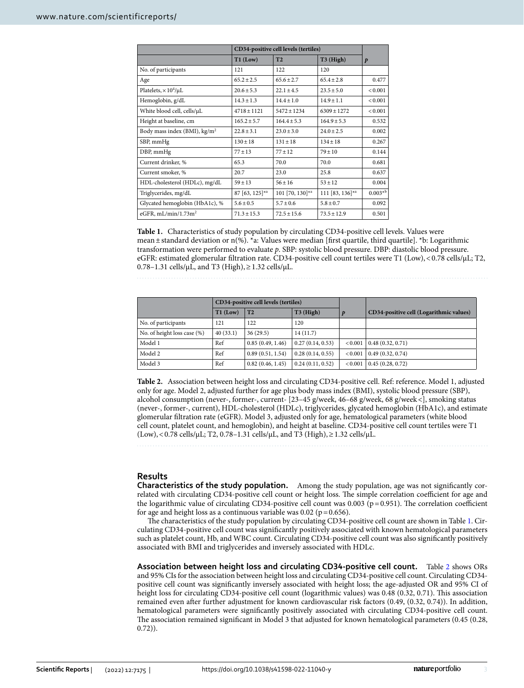|                                        | CD34-positive cell levels (tertiles) |                 |                 |                  |
|----------------------------------------|--------------------------------------|-----------------|-----------------|------------------|
|                                        | $T1$ (Low)                           | T <sub>2</sub>  | T3 (High)       | $\boldsymbol{p}$ |
| No. of participants                    | 121                                  | 122             | 120             |                  |
| Age                                    | $65.2 + 2.5$                         | $65.6 + 2.7$    | $65.4 + 2.8$    | 0.477            |
| Platelets, $\times 10^4/\mu L$         | $20.6 \pm 5.3$                       | $22.1 + 4.5$    | $23.5 \pm 5.0$  | < 0.001          |
| Hemoglobin, g/dL                       | $14.3 \pm 1.3$                       | $14.4 + 1.0$    | $14.9 + 1.1$    | < 0.001          |
| White blood cell, cells/µL             | $4718 \pm 1121$                      | $5472 \pm 1234$ | $6309 \pm 1272$ | < 0.001          |
| Height at baseline, cm                 | $165.2 \pm 5.7$                      | $164.4 + 5.3$   | $164.9 \pm 5.3$ | 0.532            |
| Body mass index (BMI), $\text{kg/m}^2$ | $22.8 + 3.1$                         | $23.0 + 3.0$    | $24.0 + 2.5$    | 0.002            |
| SBP, mmHg                              | $130 \pm 18$                         | $131 \pm 18$    | $134 \pm 18$    | 0.267            |
| DBP, mmHg                              | $77 \pm 13$                          | $77 + 12$       | $79 + 10$       | 0.144            |
| Current drinker, %                     | 65.3                                 | 70.0            | 70.0            | 0.681            |
| Current smoker, %                      | 20.7                                 | 23.0            | 25.8            | 0.637            |
| HDL-cholesterol (HDLc), mg/dL          | $59 \pm 13$                          | $56 \pm 16$     | $53 \pm 12$     | 0.004            |
| Triglycerides, mg/dL                   | 87 [63, 125]*a                       | 101 [70, 130]*a | 111 [83, 136]*a | $0.003*^{b}$     |
| Glycated hemoglobin (HbA1c), %         | $5.6 \pm 0.5$                        | $5.7 \pm 0.6$   | $5.8 \pm 0.7$   | 0.092            |
| eGFR, $mL/min/1.73m2$                  | $71.3 \pm 15.3$                      | $72.5 \pm 15.6$ | $73.5 \pm 12.9$ | 0.501            |

<span id="page-2-0"></span>**Table 1.** Characteristics of study population by circulating CD34-positive cell levels. Values were mean  $\pm$  standard deviation or n(%). \*a: Values were median [first quartile, third quartile]. \*b: Logarithmic transformation were performed to evaluate *p*. SBP: systolic blood pressure. DBP: diastolic blood pressure. eGFR: estimated glomerular fltration rate. CD34-positive cell count tertiles were T1 (Low),<0.78 cells/μL; T2, 0.78–1.31 cells/μL, and T3 (High), ≥ 1.32 cells/μL.

|                             | CD34-positive cell levels (tertiles) |                  |                  |               |                                         |
|-----------------------------|--------------------------------------|------------------|------------------|---------------|-----------------------------------------|
|                             | $T1$ (Low)                           | T2               | $T3$ (High)      |               | CD34-positive cell (Logarithmic values) |
| No. of participants         | 121                                  | 122              | 120              |               |                                         |
| No. of height loss case (%) | 40(33.1)                             | 36(29.5)         | 14(11.7)         |               |                                         |
| Model 1                     | Ref                                  | 0.85(0.49, 1.46) | 0.27(0.14, 0.53) | ${}_{<0.001}$ | 0.48(0.32, 0.71)                        |
| Model 2                     | Ref                                  | 0.89(0.51, 1.54) | 0.28(0.14, 0.55) | ${}_{<0.001}$ | 0.49(0.32, 0.74)                        |
| Model 3                     | Ref                                  | 0.82(0.46, 1.45) | 0.24(0.11, 0.52) | ${}_{<0.001}$ | 0.45(0.28, 0.72)                        |

<span id="page-2-1"></span>**Table 2.** Association between height loss and circulating CD34-positive cell. Ref: reference. Model 1, adjusted only for age. Model 2, adjusted further for age plus body mass index (BMI), systolic blood pressure (SBP), alcohol consumption (never-, former-, current- [23–45 g/week, 46–68 g/week, 68 g/week<], smoking status (never-, former-, current), HDL-cholesterol (HDLc), triglycerides, glycated hemoglobin (HbA1c), and estimate glomerular fltration rate (eGFR). Model 3, adjusted only for age, hematological parameters (white blood cell count, platelet count, and hemoglobin), and height at baseline. CD34-positive cell count tertiles were T1 (Low), < 0.78 cells/ $\mu$ L; T2, 0.78–1.31 cells/ $\mu$ L, and T3 (High), ≥ 1.32 cells/ $\mu$ L.

**Results**

**Characteristics of the study population.** Among the study population, age was not signifcantly correlated with circulating CD34-positive cell count or height loss. The simple correlation coefficient for age and the logarithmic value of circulating CD34-positive cell count was  $0.003$  (p=0.951). The correlation coefficient for age and height loss as a continuous variable was  $0.02$  ( $p = 0.656$ ).

The characteristics of the study population by circulating CD34-positive cell count are shown in Table [1.](#page-2-0) Circulating CD34-positive cell count was signifcantly positively associated with known hematological parameters such as platelet count, Hb, and WBC count. Circulating CD34-positive cell count was also signifcantly positively associated with BMI and triglycerides and inversely associated with HDLc.

**Association between height loss and circulating CD34‑positive cell count.** Table [2](#page-2-1) shows ORs and 95% CIs for the association between height loss and circulating CD34-positive cell count. Circulating CD34 positive cell count was signifcantly inversely associated with height loss; the age-adjusted OR and 95% CI of height loss for circulating CD34-positive cell count (logarithmic values) was 0.48 (0.32, 0.71). This association remained even afer further adjustment for known cardiovascular risk factors (0.49, (0.32, 0.74)). In addition, hematological parameters were signifcantly positively associated with circulating CD34-positive cell count. The association remained significant in Model 3 that adjusted for known hematological parameters (0.45 (0.28, 0.72)).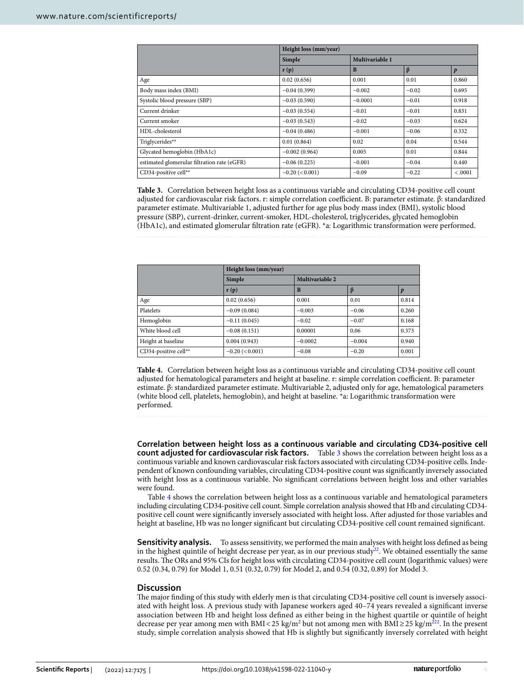|                                             | Height loss (mm/year) |                 |         |                  |  |
|---------------------------------------------|-----------------------|-----------------|---------|------------------|--|
|                                             | Simple                | Multivariable 1 |         |                  |  |
|                                             | r(p)                  | B               | ß       | $\boldsymbol{p}$ |  |
| Age                                         | 0.02(0.656)           | 0.001           | 0.01    | 0.860            |  |
| Body mass index (BMI)                       | $-0.04(0.399)$        | $-0.002$        | $-0.02$ | 0.695            |  |
| Systolic blood pressure (SBP)               | $-0.03(0.590)$        | $-0.0001$       | $-0.01$ | 0.918            |  |
| Current drinker                             | $-0.03(0.554)$        | $-0.01$         | $-0.01$ | 0.831            |  |
| Current smoker                              | $-0.03(0.543)$        | $-0.02$         | $-0.03$ | 0.624            |  |
| HDL-cholesterol                             | $-0.04(0.486)$        | $-0.001$        | $-0.06$ | 0.332            |  |
| Triglycerides <sup>*a</sup>                 | 0.01(0.864)           | 0.02            | 0.04    | 0.544            |  |
| Glycated hemoglobin (HbA1c)                 | $-0.002(0.964)$       | 0.005           | 0.01    | 0.844            |  |
| estimated glomerular filtration rate (eGFR) | $-0.06(0.225)$        | $-0.001$        | $-0.04$ | 0.440            |  |
| CD34-positive cell*a                        | $-0.20$ (< 0.001)     | $-0.09$         | $-0.22$ | < .0001          |  |

<span id="page-3-0"></span>**Table 3.** Correlation between height loss as a continuous variable and circulating CD34-positive cell count adjusted for cardiovascular risk factors. r: simple correlation coefcient. Β: parameter estimate. β: standardized parameter estimate. Multivariable 1, adjusted further for age plus body mass index (BMI), systolic blood pressure (SBP), current-drinker, current-smoker, HDL-cholesterol, triglycerides, glycated hemoglobin (HbA1c), and estimated glomerular fltration rate (eGFR). \*a: Logarithmic transformation were performed.

|                      | Height loss (mm/year)    |                 |          |       |  |
|----------------------|--------------------------|-----------------|----------|-------|--|
|                      | Simple                   | Multivariable 2 |          |       |  |
|                      | $\mathbf{r}(\mathbf{p})$ | B               |          |       |  |
| Age                  | 0.02(0.656)              | 0.001           | 0.01     | 0.814 |  |
| Platelets            | $-0.09(0.084)$           | $-0.003$        | $-0.06$  | 0.260 |  |
| Hemoglobin           | $-0.11(0.045)$           | $-0.02$         | $-0.07$  | 0.168 |  |
| White blood cell     | $-0.08(0.151)$           | 0.00001         | 0.06     | 0.373 |  |
| Height at baseline   | 0.004(0.943)             | $-0.0002$       | $-0.004$ | 0.940 |  |
| CD34-positive cell*a | $-0.20$ (< 0.001)        | $-0.08$         | $-0.20$  | 0.001 |  |

<span id="page-3-1"></span>**Table 4.** Correlation between height loss as a continuous variable and circulating CD34-positive cell count adjusted for hematological parameters and height at baseline. r: simple correlation coefcient. Β: parameter estimate. β: standardized parameter estimate. Multivariable 2, adjusted only for age, hematological parameters (white blood cell, platelets, hemoglobin), and height at baseline. \*a: Logarithmic transformation were performed.

**Correlation between height loss as a continuous variable and circulating CD34‑positive cell count adjusted for cardiovascular risk factors.** Table [3](#page-3-0) shows the correlation between height loss as a continuous variable and known cardiovascular risk factors associated with circulating CD34-positive cells. Independent of known confounding variables, circulating CD34-positive count was signifcantly inversely associated with height loss as a continuous variable. No signifcant correlations between height loss and other variables were found.

Table [4](#page-3-1) shows the correlation between height loss as a continuous variable and hematological parameters including circulating CD34-positive cell count. Simple correlation analysis showed that Hb and circulating CD34 positive cell count were signifcantly inversely associated with height loss. Afer adjusted for those variables and height at baseline, Hb was no longer signifcant but circulating CD34-positive cell count remained signifcant.

**Sensitivity analysis.** To assess sensitivity, we performed the main analyses with height loss defined as being in the highest quintile of height decrease per year, as in our previous study<sup>22</sup>. We obtained essentially the same results. The ORs and 95% CIs for height loss with circulating CD34-positive cell count (logarithmic values) were 0.52 (0.34, 0.79) for Model 1, 0.51 (0.32, 0.79) for Model 2, and 0.54 (0.32, 0.89) for Model 3.

# **Discussion**

The major finding of this study with elderly men is that circulating CD34-positive cell count is inversely associated with height loss. A previous study with Japanese workers aged 40–74 years revealed a signifcant inverse association between Hb and height loss defned as either being in the highest quartile or quintile of height decrease per year among men with BMI < 25 kg/m<sup>2</sup> but not among men with BMI ≥ 25 kg/m<sup>[22](#page-5-9)2</sup>. In the present study, simple correlation analysis showed that Hb is slightly but signifcantly inversely correlated with height

4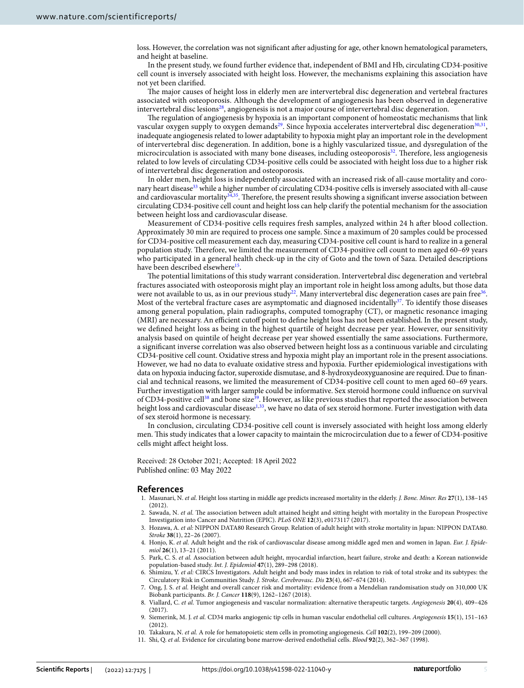loss. However, the correlation was not signifcant afer adjusting for age, other known hematological parameters, and height at baseline.

In the present study, we found further evidence that, independent of BMI and Hb, circulating CD34-positive cell count is inversely associated with height loss. However, the mechanisms explaining this association have not yet been clarifed.

The major causes of height loss in elderly men are intervertebral disc degeneration and vertebral fractures associated with osteoporosis. Although the development of angiogenesis has been observed in degenerative intervertebral disc lesions<sup>28</sup>, angiogenesis is not a major course of intervertebral disc degeneration.

The regulation of angiogenesis by hypoxia is an important component of homeostatic mechanisms that link vascular oxygen supply to oxygen demands<sup>[29](#page-5-16)</sup>. Since hypoxia accelerates intervertebral disc degeneration<sup>30[,31](#page-5-18)</sup>, inadequate angiogenesis related to lower adaptability to hypoxia might play an important role in the development of intervertebral disc degeneration. In addition, bone is a highly vascularized tissue, and dysregulation of the microcirculation is associated with many bone diseases, including osteoporosis<sup>[32](#page-5-19)</sup>. Therefore, less angiogenesis related to low levels of circulating CD34-positive cells could be associated with height loss due to a higher risk of intervertebral disc degeneration and osteoporosis.

In older men, height loss is independently associated with an increased risk of all-cause mortality and coronary heart disease<sup>33</sup> while a higher number of circulating CD34-positive cells is inversely associated with all-cause and cardiovascular mortality<sup>34,35</sup>. Therefore, the present results showing a significant inverse association between circulating CD34-positive cell count and height loss can help clarify the potential mechanism for the association between height loss and cardiovascular disease.

Measurement of CD34-positive cells requires fresh samples, analyzed within 24 h afer blood collection. Approximately 30 min are required to process one sample. Since a maximum of 20 samples could be processed for CD34-positive cell measurement each day, measuring CD34-positive cell count is hard to realize in a general population study. Therefore, we limited the measurement of CD34-positive cell count to men aged 60–69 years who participated in a general health check-up in the city of Goto and the town of Saza. Detailed descriptions have been described elsewhere<sup>[15](#page-5-3)</sup>.

The potential limitations of this study warrant consideration. Intervertebral disc degeneration and vertebral fractures associated with osteoporosis might play an important role in height loss among adults, but those data were not available to us, as in our previous study<sup>[22](#page-5-9)</sup>. Many intervertebral disc degeneration cases are pain free<sup>36</sup>. Most of the vertebral fracture cases are asymptomatic and diagnosed incidentally $37$ . To identify those diseases among general population, plain radiographs, computed tomography (CT), or magnetic resonance imaging (MRI) are necessary. An efficient cutoff point to define height loss has not been established. In the present study, we defned height loss as being in the highest quartile of height decrease per year. However, our sensitivity analysis based on quintile of height decrease per year showed essentially the same associations. Furthermore, a signifcant inverse correlation was also observed between height loss as a continuous variable and circulating CD34-positive cell count. Oxidative stress and hypoxia might play an important role in the present associations. However, we had no data to evaluate oxidative stress and hypoxia. Further epidemiological investigations with data on hypoxia inducing factor, superoxide dismutase, and 8-hydroxydeoxyguanosine are required. Due to fnancial and technical reasons, we limited the measurement of CD34-positive cell count to men aged 60–69 years. Further investigation with larger sample could be informative. Sex steroid hormone could infuence on survival of CD34-positive cell<sup>38</sup> and bone size<sup>[39](#page-5-26)</sup>. However, as like previous studies that reported the association between height loss and cardiovascular disease<sup>[1](#page-4-0),[33](#page-5-20)</sup>, we have no data of sex steroid hormone. Furter investigation with data of sex steroid hormone is necessary.

In conclusion, circulating CD34-positive cell count is inversely associated with height loss among elderly men. This study indicates that a lower capacity to maintain the microcirculation due to a fewer of CD34-positive cells might afect height loss.

Received: 28 October 2021; Accepted: 18 April 2022 Published online: 03 May 2022

### **References**

- <span id="page-4-0"></span>1. Masunari, N. *et al.* Height loss starting in middle age predicts increased mortality in the elderly. *J. Bone. Miner. Res* **27**(1), 138–145  $(2012)$
- <span id="page-4-1"></span>2. Sawada, N. et al. The association between adult attained height and sitting height with mortality in the European Prospective Investigation into Cancer and Nutrition (EPIC). *PLoS ONE* **12**(3), e0173117 (2017).
- 3. Hozawa, A. *et al:* NIPPON DATA80 Research Group. Relation of adult height with stroke mortality in Japan: NIPPON DATA80. *Stroke* **38**(1), 22–26 (2007).
- 4. Honjo, K. *et al.* Adult height and the risk of cardiovascular disease among middle aged men and women in Japan. *Eur. J. Epidemiol* **26**(1), 13–21 (2011).
- 5. Park, C. S. *et al.* Association between adult height, myocardial infarction, heart failure, stroke and death: a Korean nationwide population-based study. *Int. J. Epidemiol* **47**(1), 289–298 (2018).
- <span id="page-4-2"></span>6. Shimizu, Y. *et al:* CIRCS Investigators. Adult height and body mass index in relation to risk of total stroke and its subtypes: the Circulatory Risk in Communities Study. *J. Stroke. Cerebrovasc. Dis* **23**(4), 667–674 (2014).
- <span id="page-4-3"></span>7. Ong, J. S. *et al.* Height and overall cancer risk and mortality: evidence from a Mendelian randomisation study on 310,000 UK Biobank participants. *Br. J. Cancer* **118**(9), 1262–1267 (2018).
- <span id="page-4-4"></span>8. Viallard, C. *et al.* Tumor angiogenesis and vascular normalization: alternative therapeutic targets. *Angiogenesis* **20**(4), 409–426 (2017).
- <span id="page-4-5"></span>9. Siemerink, M. J. *et al.* CD34 marks angiogenic tip cells in human vascular endothelial cell cultures. *Angiogenesis* **15**(1), 151–163 (2012).
- <span id="page-4-6"></span>10. Takakura, N. *et al.* A role for hematopoietic stem cells in promoting angiogenesis. *Cell* **102**(2), 199–209 (2000).
- <span id="page-4-7"></span>11. Shi, Q. *et al.* Evidence for circulating bone marrow-derived endothelial cells. *Blood* **92**(2), 362–367 (1998).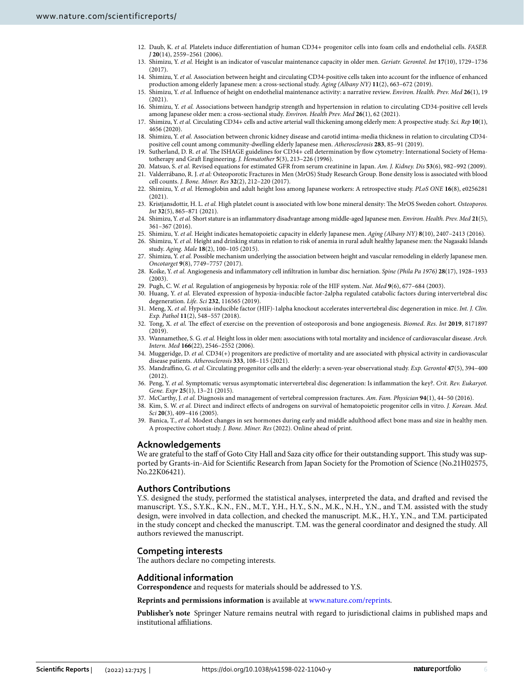- <span id="page-5-0"></span>12. Daub, K. *et al.* Platelets induce diferentiation of human CD34+ progenitor cells into foam cells and endothelial cells. *FASEB. J* **20**(14), 2559–2561 (2006).
- <span id="page-5-1"></span>13. Shimizu, Y. *et al.* Height is an indicator of vascular maintenance capacity in older men. *Geriatr. Gerontol. Int* **17**(10), 1729–1736 (2017).
- <span id="page-5-2"></span>14. Shimizu, Y. *et al.* Association between height and circulating CD34-positive cells taken into account for the infuence of enhanced production among elderly Japanese men: a cross-sectional study. *Aging (Albany NY)* **11**(2), 663–672 (2019).
- <span id="page-5-3"></span>15. Shimizu, Y. *et al.* Infuence of height on endothelial maintenance activity: a narrative review. *Environ. Health. Prev. Med* **26**(1), 19  $(2021)$
- <span id="page-5-4"></span>16. Shimizu, Y. *et al.* Associations between handgrip strength and hypertension in relation to circulating CD34-positive cell levels among Japanese older men: a cross-sectional study. *Environ. Health Prev. Med* **26**(1), 62 (2021).
- 17. Shimizu, Y. *et al.* Circulating CD34+ cells and active arterial wall thickening among elderly men: A prospective study. *Sci. Rep* **10**(1), 4656 (2020).
- <span id="page-5-5"></span>18. Shimizu, Y. *et al.* Association between chronic kidney disease and carotid intima-media thickness in relation to circulating CD34 positive cell count among community-dwelling elderly Japanese men. *Atherosclerosis* **283**, 85–91 (2019).
- <span id="page-5-6"></span>19. Sutherland, D. R. *et al.* The ISHAGE guidelines for CD34+ cell determination by flow cytometry: International Society of Hematotherapy and Graft Engineering. *J. Hematother* **5**(3), 213-226 (1996).
- <span id="page-5-7"></span>20. Matsuo, S. *et al.* Revised equations for estimated GFR from serum creatinine in Japan. *Am. J. Kidney. Dis* **53**(6), 982–992 (2009).
- <span id="page-5-8"></span>21. Valderrábano, R. J. *et al:* Osteoporotic Fractures in Men (MrOS) Study Research Group. Bone density loss is associated with blood cell counts. *J. Bone. Miner. Res* **32**(2), 212–220 (2017).
- <span id="page-5-9"></span>22. Shimizu, Y. *et al.* Hemoglobin and adult height loss among Japanese workers: A retrospective study. *PLoS ONE* **16**(8), e0256281  $(2021)$
- <span id="page-5-10"></span>23. Kristjansdottir, H. L. *et al.* High platelet count is associated with low bone mineral density: The MrOS Sweden cohort. Osteoporos. *Int* **32**(5), 865–871 (2021).
- <span id="page-5-11"></span>24. Shimizu, Y. *et al.* Short stature is an infammatory disadvantage among middle-aged Japanese men. *Environ. Health. Prev. Med* **21**(5), 361–367 (2016).
- <span id="page-5-12"></span>25. Shimizu, Y. *et al.* Height indicates hematopoietic capacity in elderly Japanese men. *Aging (Albany NY)* **8**(10), 2407–2413 (2016).
- <span id="page-5-13"></span>26. Shimizu, Y. *et al.* Height and drinking status in relation to risk of anemia in rural adult healthy Japanese men: the Nagasaki Islands study. *Aging. Male* **18**(2), 100–105 (2015).
- <span id="page-5-14"></span>27. Shimizu, Y. *et al.* Possible mechanism underlying the association between height and vascular remodeling in elderly Japanese men. *Oncotarget* **9**(8), 7749–7757 (2017).
- <span id="page-5-15"></span>28. Koike, Y. *et al.* Angiogenesis and infammatory cell infltration in lumbar disc herniation. *Spine (Phila Pa 1976)* **28**(17), 1928–1933 (2003).
- <span id="page-5-16"></span>29. Pugh, C. W. *et al.* Regulation of angiogenesis by hypoxia: role of the HIF system. *Nat. Med* **9**(6), 677–684 (2003).
- <span id="page-5-17"></span>30. Huang, Y. *et al.* Elevated expression of hypoxia-inducible factor-2alpha regulated catabolic factors during intervertebral disc degeneration. *Life. Sci* **232**, 116565 (2019).
- <span id="page-5-18"></span>31. Meng, X. *et al.* Hypoxia-inducible factor (HIF)-1alpha knockout accelerates intervertebral disc degeneration in mice. *Int. J. Clin. Exp. Pathol* **11**(2), 548–557 (2018).
- <span id="page-5-19"></span>32. Tong, X. *et al.* Te efect of exercise on the prevention of osteoporosis and bone angiogenesis. *Biomed. Res. Int* **2019**, 8171897 (2019).
- <span id="page-5-20"></span>33. Wannamethee, S. G. *et al.* Height loss in older men: associations with total mortality and incidence of cardiovascular disease. *Arch. Intern. Med* **166**(22), 2546–2552 (2006).
- <span id="page-5-21"></span>34. Muggeridge, D. *et al.* CD34(+) progenitors are predictive of mortality and are associated with physical activity in cardiovascular disease patients. *Atherosclerosis* **333**, 108–115 (2021).
- <span id="page-5-22"></span>35. Mandrafno, G. *et al.* Circulating progenitor cells and the elderly: a seven-year observational study. *Exp. Gerontol* **47**(5), 394–400 (2012).
- <span id="page-5-23"></span>36. Peng, Y. *et al.* Symptomatic versus asymptomatic intervertebral disc degeneration: Is infammation the key?. *Crit. Rev. Eukaryot. Gene. Expr* **25**(1), 13–21 (2015).
- <span id="page-5-24"></span>37. McCarthy, J. *et al.* Diagnosis and management of vertebral compression fractures. *Am. Fam. Physician* **94**(1), 44–50 (2016).
- <span id="page-5-25"></span>38. Kim, S. W. *et al.* Direct and indirect efects of androgens on survival of hematopoietic progenitor cells in vitro. *J. Korean. Med. Sci* **20**(3), 409–416 (2005).
- <span id="page-5-26"></span>39. Banica, T., *et al.* Modest changes in sex hormones during early and middle adulthood afect bone mass and size in healthy men. A prospective cohort study. *J. Bone. Miner. Res* (2022). Online ahead of print.

### **Acknowledgements**

We are grateful to the staff of Goto City Hall and Saza city office for their outstanding support. This study was supported by Grants-in-Aid for Scientifc Research from Japan Society for the Promotion of Science (No.21H02575, No.22K06421).

# **Authors Contributions**

Y.S. designed the study, performed the statistical analyses, interpreted the data, and drafed and revised the manuscript. Y.S., S.Y.K., K.N., F.N., M.T., Y.H., H.Y., S.N., M.K., N.H., Y.N., and T.M. assisted with the study design, were involved in data collection, and checked the manuscript. M.K., H.Y., Y.N., and T.M. participated in the study concept and checked the manuscript. T.M. was the general coordinator and designed the study. All authors reviewed the manuscript.

# **Competing interests**

The authors declare no competing interests.

# **Additional information**

**Correspondence** and requests for materials should be addressed to Y.S.

**Reprints and permissions information** is available at [www.nature.com/reprints.](www.nature.com/reprints)

**Publisher's note** Springer Nature remains neutral with regard to jurisdictional claims in published maps and institutional afliations.